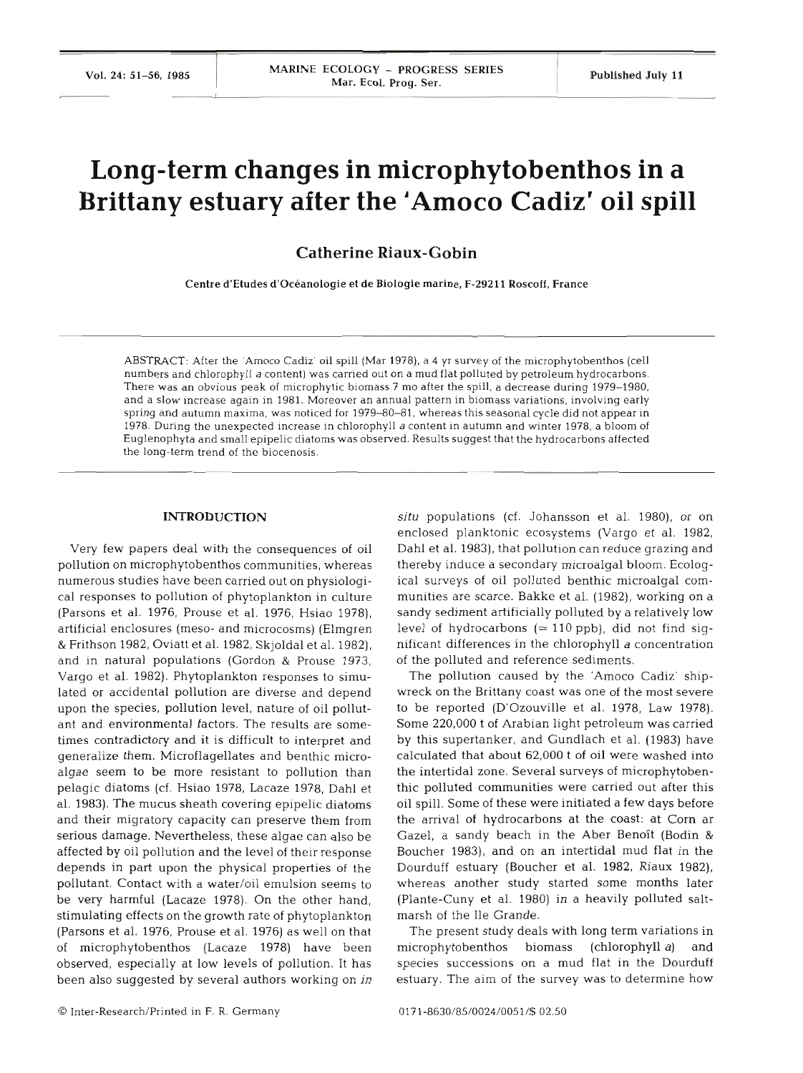# Long-term changes in microphytobenthos in a Brittany estuary after the 'Amoco Cadiz' oil spill

# Catherine Riaux-Gobin

Centre d'Etudes d'oceanologie et de Biologie marine. **F-29211** Roscoff, France

ABSTRACT: After the 'Amoco Cadiz' oil spill (Mar 1978), a 4 yr survey of the microphytobenthos (cell numbers and chlorophyll a content) was carried out on a mud flat polluted by petroleum hydrocarbons. There was an obvious peak of microphytic biomass 7 mo after the spill, a decrease during 1979-1980, and a slow increase again in 1981. Moreover an annual pattern in biomass variations, involving early spring and autumn maxima, was noticed for 1979-80-81. whereas this seasonal cycle did not appear in 1978. During the unexpected increase in chlorophyll a content in autumn and winter 1978, a bloom of Euglenophyta and small epipelic diatoms was observed. Results suggest that the hydrocarbons affected the long-term trend of the biocenosis.

# INTRODUCTION

Very few papers deal with the consequences of oil pollution on microphytobenthos communities, whereas numerous studies have been carried out on physiological responses to pollution of phytoplankton in culture (Parsons et al. 1976, Prouse et al. 1976, Hsiao 1978), artificial enclosures (meso- and microcosms) (Elmgren & Frithson 1982, Oviatt et al. 1982, Skjoldal et al. 1982), and in natural populations (Gordon & Prouse 1973, Vargo et al. 1982). Phytoplankton responses to simulated or accidental pollution are diverse and depend upon the species, pollution level, nature of oil pollutant and environmental factors. The results are sometimes contradictory and it is difficult to interpret and generalize them. Microflagellates and benthic microalgae seem to be more resistant to pollution than pelagic diatoms (cf. Hsiao 1978, Lacaze 1978, Dahl et al. 1983). The mucus sheath covering epipelic diatoms and their migratory capacity can preserve them from serious damage. Nevertheless, these algae can also be affected by oil pollution and the level of their response depends in part upon the physical properties of the pollutant. Contact with a water/oil emulsion seems to be very harmful (Lacaze 1978). On the other hand, stimulating effects on the growth rate of phytoplankton (Parsons et al. 1976, Prouse et al. 1976) as well on that of microphytobenthos (Lacaze 1978) have been observed, especially at low levels of pollution. It has been also suggested by several authors working on in

**situ** populations (cf. Johansson et al. 1980), or on enclosed planktonic ecosystems (Vargo et al. 1982, Dahl et al. 1983), that pollution can reduce grazing and thereby induce a secondary microalgal bloom. Ecological surveys of oil polluted benthic microalgal communities are scarce. Bakke et al. (1982), working on a sandy sediment artificially polluted by a relatively low level of hydrocarbons  $(\approx 110 \text{ ppb})$ , did not find significant differences in the chlorophyll a concentration of the polluted and reference sediments.

The pollution caused by the 'Amoco Cadiz' shipwreck on the Brittany coast was one of the most severe to be reported (D'Ozouville et al. 1978, Law 1978). Some 220,000 t of Arabian light petroleum was carried by this supertanker, and Gundlach et al. (1983) have calculated that about 62,000 t of oil were washed into the intertidal zone. Several surveys of microphytobenthic polluted communities were carried out after this oil spill. Some of these were initiated a few days before the arrival of hydrocarbons at the coast: at Corn ar Gazel, a sandy beach in the Aber Benoît (Bodin & Boucher 1983), and on an intertidal mud flat in the Dourduff estuary (Boucher et al. 1982, Riaux 1982), whereas another study started some months later (Plante-Cuny et al. 1980) in a heavily polluted saltmarsh of the Ile Grande.

The present study deals with long term variations in microphytobenthos biomass (chlorophyll a) and species successions on a mud flat in the Dourduff estuary. The aim of the survey was to determine how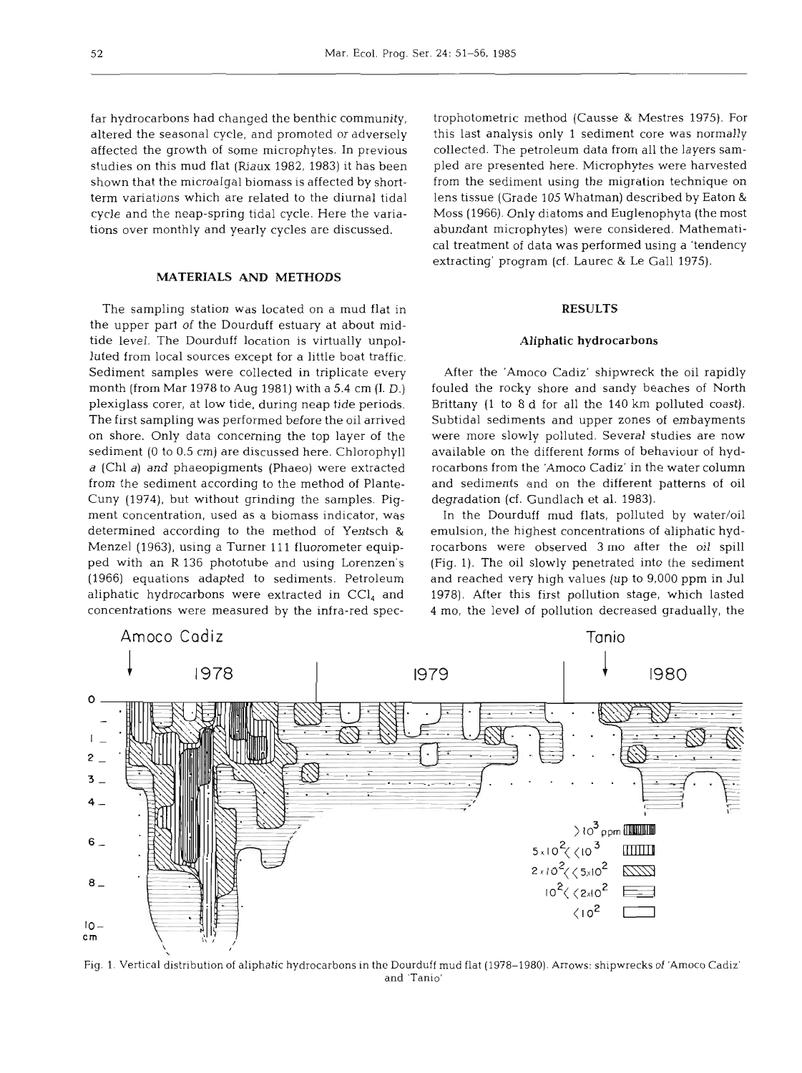far hydrocarbons had changed the benthic community, altered the seasonal cycle, and promoted or adversely affected the growth of some microphytes. In previous studies on this mud flat (Riaux 1982, 1983) it has been shown that the microalgal biomass is affected by shortterm variations which are related to the diurnal tidal cycle and the neap-spring tidal cycle. Here the variations over monthly and yearly cycles are discussed.

# **MATERIALS AND METHODS**

The sampling station was located on a mud flat in the upper part of the Dourduff estuary at about midtide level. The Dourduff location is virtually unpolluted from local sources except for a little boat traffic. Sediment samples were collected in triplicate every month (from Mar 1978 to Aug 1981) with a 5.4 cm (I. D.) plexiglass corer, at low tide, during neap tide periods. The first sampling was performed before the oil arrived on shore. Only data concerning the top layer of the sediment (0 to 0.5 cm) are discussed here. Chlorophyll a (Chl a) and phaeopigments (Phaeo) were extracted from the sediment according to the method of Plante-Cuny (1974), but without grinding the samples. Pigment concentration, used as a biomass indicator, was determined according to the method of Yentsch & Menzel (1963), using a Turner 111 fluorometer equipped with an R 136 phototube and using Lorenzen's (1966) equations adapted to sediments. Petroleum aliphatic hydrocarbons were extracted in  $\text{CCI}_4$  and concentrations were measured by the infra-red spectrophotometric method (Causse & Mestres 1975). For this last analysis only 1 sediment core was normally collected. The petroleum data from all the layers sampled are presented here. Microphytes were harvested from the sediment using the migration technique on lens tissue (Grade 105 Whatman) described by Eaton & Moss (1966). Only diatoms and Euglenophyta (the most abundant microphytes) were considered. Mathematical treatment of data was performed using a 'tendency extracting' program (cf. Laurec & Le Gall 1975).

# **RESULTS**

#### **Aliphatic hydrocarbons**

After the 'Amoco Cadiz' shipwreck the oil rapidly fouled the rocky shore and sandy beaches of North Brittany (1 to 8 d for all the 140 km polluted coast). Subtidal sediments and upper zones of embayments were more slowly polluted. Several studies are now available on the different forms of behaviour of hydrocarbons from the 'Amoco Cadiz' in the water column and sediments and on the different patterns of oil degradation (cf. Gundlach et al. 1983).

In the Dourduff mud flats, polluted by water/oil emulsion, the highest concentrations of aliphatic hydrocarbons were observed **3** mo after the oil spill (Fig. 1). The oil slowly penetrated into the sediment and reached very high values (up to 9,000 ppm in Jul 1978). After this first pollution stage, which lasted 4 mo, the level of pollution decreased gradually, the



Fig. 1. Vertical distribution of aliphatic hydrocarbons in the Dourduff mud flat (1978-1980). Arrows: shipwrecks of 'Amoco Cadiz' and 'Tanlo'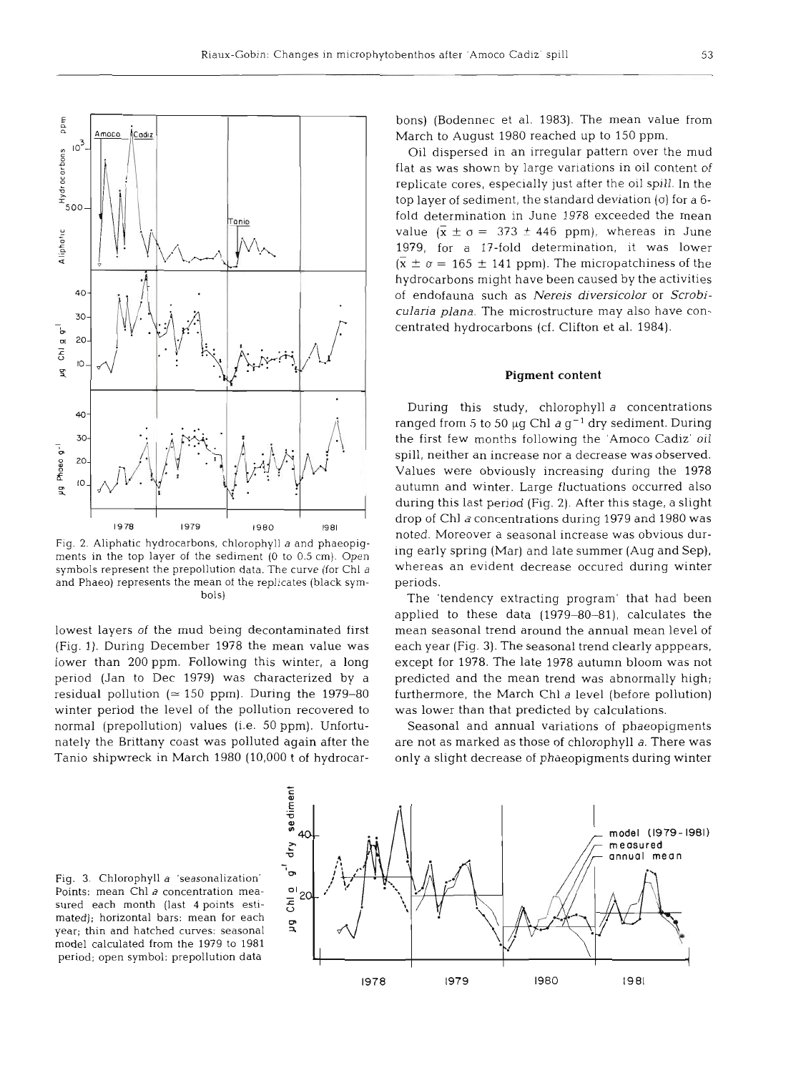

53



Fig. 2. Aliphatic hydrocarbons, chlorophyll a and phaeopigments in the top layer of the sediment **(0** to 0.5 cm). Open symbols represent the prepollution data. The curve (for Chl a and Phaeo) represents the mean of the replicates (black symbols)

lowest layers of the mud being decontaminated first (Fig. 1). During December 1978 the mean value was lower than 200 ppm. Following this winter, a long period (Jan to Dec 1979) was characterized by a residual pollution ( $\simeq$  150 ppm). During the 1979-80 winter period the level of the pollution recovered to normal (prepollution) values (i.e. 50 ppm). Unfortunately the Brittany coast was polluted again after the Tanio shipwreck in March 1980 (10,000 t of hydrocarbons) (Bodennec et al. 1983). The mean value from March to August 1980 reached up to 150 ppm.

Oil dispersed in an irregular pattern over the mud flat as was shown by large variations in oil content of replicate cores, especially just after the oil spill. In the top layer of sediment, the standard deviation (a) for a **6**  fold determination in June 1978 exceeded the m value  $(\bar{x} \pm \sigma = 373 \pm 446 \text{ ppm})$ , whereas in June 1979, for a 17-fold determination, it was lower  $(\bar{x} \pm \sigma = 165 \pm 141 \text{ ppm})$ . The micropatchiness of the hydrocarbons might have been caused by the activities of endofauna such as Nereis *diversicolor* or *Scrobicularia plana.* The microstructure may also have concentrated hydrocarbons (cf. Clifton et al. 1984).

# **Pigment content**

During this study, chlorophyll *a* concentrations ranged from 5 to 50  $\mu$ g Chl  $a$  g<sup>-1</sup> dry sediment. During the first few months following the 'Amoco Cadiz' oil spill, neither an increase nor a decrease was observed. Values were obviously increasing during the 1978 autumn and winter. Large fluctuations occurred also during this last period (Fig. 2). After this stage, a slight drop of Chl a concentrations during 1979 and 1980 was noted. Moreover a seasonal increase was obvious during early spring (Mar) and late summer (Aug and Sep), whereas an evident decrease occured during winter periods.

The 'tendency extracting program' that had been applied to these data (1979-80-81), calculates the mean seasonal trend around the annual mean lev each year (Fig. **3).** The seasonal trend clearly apppears, except for 1978. The late 1978 autumn bloom was not predicted and the mean trend was abnormally high; furthermore, the March Chl *a* level (before pollution) was lower than that predicted by calculations.

Seasonal and annual variations of phaeopigments are not as marked as those of chlorophyll a. There was only a slight decrease of phaeopigments during winter

Fig. 3. Chlorophyll a 'seasonalization' Points: mean Chl a concentration measured each month (last 4 points estimated); horizontal bars: mean for each year; thin and hatched curves: seasonal model calculated from the 1979 to 1 period; open symbol: prepollution data

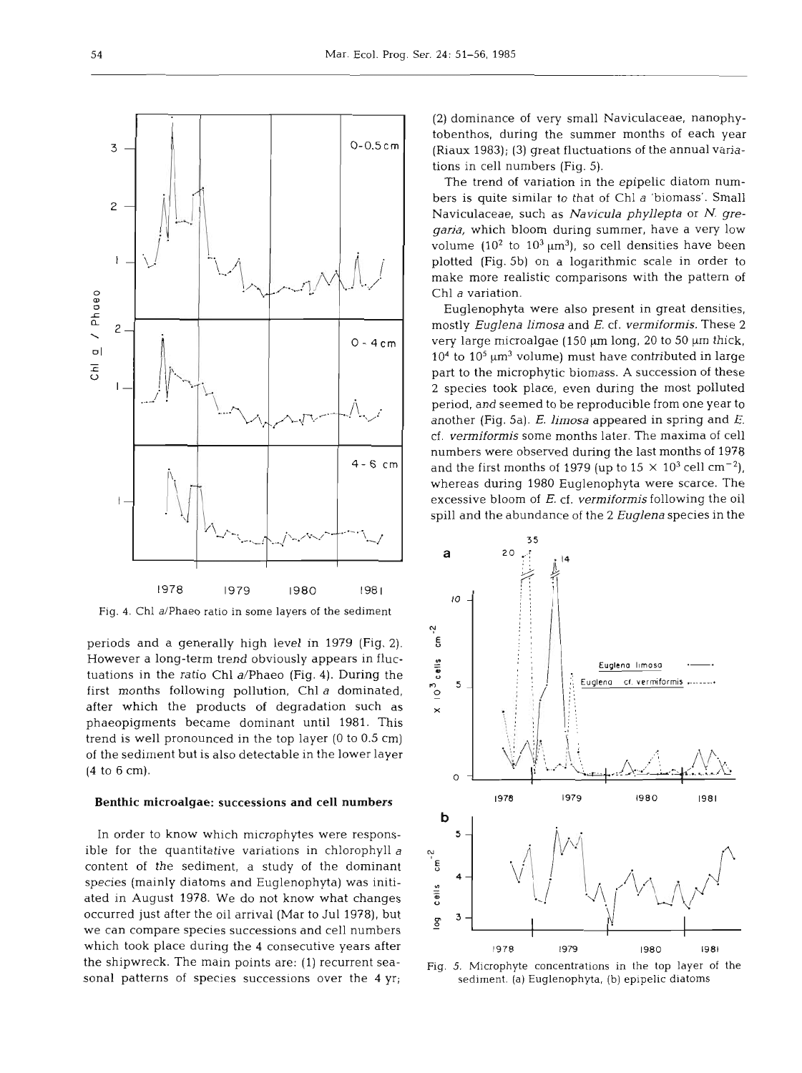$0 - 0.5$  cm 3  $\mathsf{S}$  $\mathbf{I}$  $\frac{a}{b}$  / Phaeo  $\mathsf{S}$  $0 - 4$  cm  $\overline{5}$  $\mathsf{L}$  $4 - 6$  cm 1978 1979 1980 1981

Fig. 4. Chl a/Phaeo ratio in some layers of the sediment

periods and a generally high level in 1979 (Fig. 2). However a long-term trend obviously appears in fluctuations in the ratio Chl a/Phaeo (Fig. 4). During the first months following pollution, Chl a dominated, after which the products of degradation such as phaeopigments became dominant until 1981. This trend is well pronounced in the top layer (0 to 0.5 cm) of the sediment but is also detectable in the lower layer (4 to 6 cm).

# Benthic microalgae: successions and cell numbers

In order to know which microphytes were responsible for the quantitative variations in chlorophyll *<sup>a</sup>* content of the sediment, a study of the dominant species (mainly diatoms and Euglenophyta) was initiated in August 1978. We do not know what changes occurred just after the oil arrival (Mar to Jul 1978), but we can compare species successions and cell numbers which took place during the 4 consecutive years after the shipwreck. The main points are: (1) recurrent seasonal patterns of species successions over the 4 yr;

(2) dominance of very small Naviculaceae, nanophytobenthos, during the summer months of each year (Riaux 1983); (3) great fluctuations of the annual variations in cell numbers (Fig. 5).

The trend of variation in the epipelic diatom numbers is quite similar to that of Chl *a* 'biomass'. Small Naviculaceae, such as *Navicula phyllepta* or N. *gregaria,* which bloom during summer, have a very low volume  $(10^2 \text{ to } 10^3 \mu \text{m}^3)$ , so cell densities have been plotted (Fig. 5b) on a logarithmic scale in order to make more realistic comparisons with the pattern of Chl *a* variation.

Euglenophyta were also present in great densities, mostly *Euglena limosa* and *E.* cf. *vermiformis.* These 2 very large microalgae  $(150 \mu m \log n, 20 \text{ to } 50 \mu m \text{ thick})$ ,  $10<sup>4</sup>$  to  $10<sup>5</sup>$  µm<sup>3</sup> volume) must have contributed in large part to the microphytic biomass. A succession of these 2 species took place, even during the most polluted period, and seemed to be reproducible from one year to another (Fig. 5a). E. *limosa* appeared in spring and *E.*  cf. *vermiformis* some months later. The maxima of cell numbers were observed during the last months of 1978 and the first months of 1979 (up to  $15 \times 10^3$  cell cm<sup>-2</sup>), whereas during 1980 Euglenophyta were scarce. The excessive bloom of E. cf. *vermiformis* following the oil spill and the abundance of the 2 *Euqlena* species in the



Fig. 5. Microphyte concentrations in the top layer of the sediment. (a) Euglenophyta, **(b)** epipelic diatoms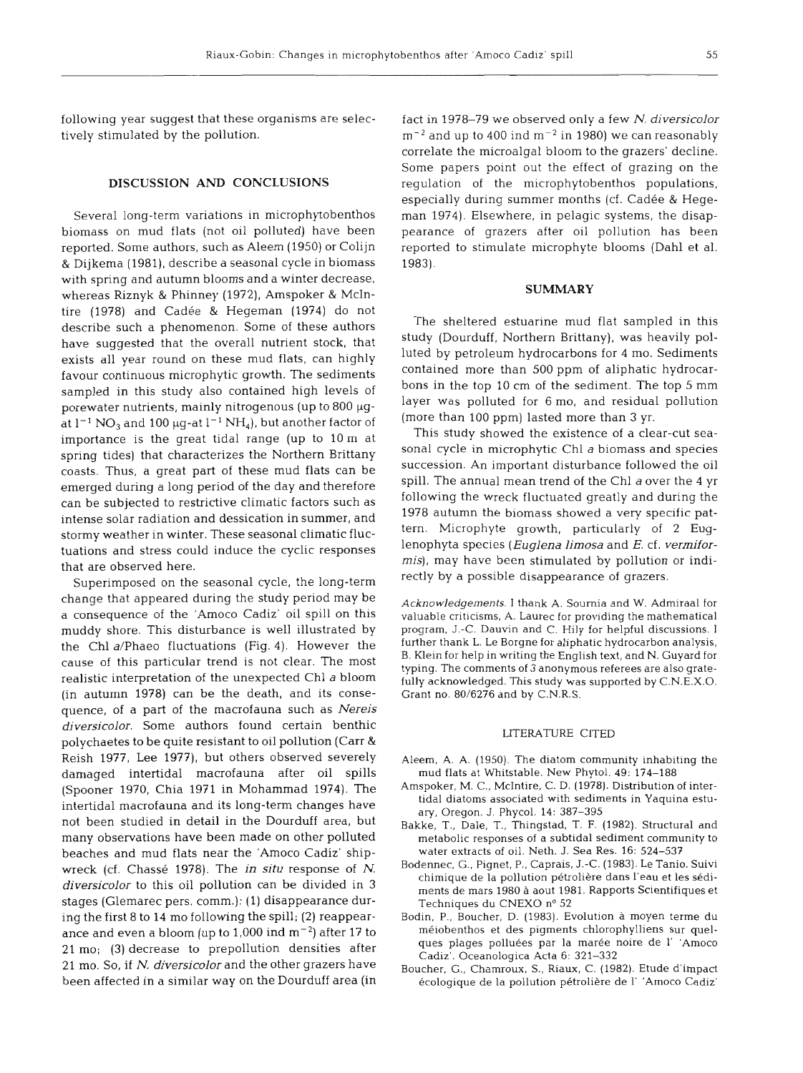following year suggest that these organisms are selectively stimulated by the pollution.

# **DISCUSSION AND CONCLUSIONS**

Several long-term variations in microphytobenthos biomass on mud flats (not oil polluted) have been reported. Some authors, such as Aleem (1950) or Colijn & Dijkema (1981), describe a seasonal cycle in biomass with spring and autumn blooms and a winter decrease, whereas Riznyk & Phinney (1972), Amspoker & McIntire (1978) and Cadée & Hegeman (1974) do not describe such a phenomenon. Some of these authors have suggested that the overall nutrient stock, that exists all year round on these mud flats, can highly favour continuous microphytic growth. The sediments sampled in this study also contained high levels of porewater nutrients, mainly nitrogenous (up to  $800 \mu$ gat  $1^{-1}$  NO<sub>3</sub> and 100  $\mu$ g-at  $1^{-1}$  NH<sub>4</sub>), but another factor of importance is the great tidal range (up to 10 m at spring tides) that characterizes the Northern Brittany coasts. Thus, a great part of these mud flats can be emerged during a long period of the day and therefore can be subjected to restrictive climatic factors such as intense solar radiation and dessication in summer, and stormy weather in winter. These seasonal climatic fluctuations and stress could induce the cyclic responses that are observed here.

Superimposed on the seasonal cycle, the long-term change that appeared during the study period may be a consequence of the 'Amoco Cadiz' oil spill on this muddy shore. This disturbance is well illustrated by the Chl a/Phaeo fluctuations (Fig. 4). However the cause of this particular trend is not clear. The most realistic interpretation of the unexpected Chl a bloom (in autumn 1978) can be the death, and its consequence, of a part of the macrofauna such as Nereis diversicolor. Some authors found certain benthic polychaetes to be quite resistant to oil pollution (Carr **h**  Reish 1977, Lee 1977), but others observed severely damaged intertidal macrofauna after oil spills (Spooner 1970, Chia 1971 in Mohammad 1974). The intertidal macrofauna and its long-term changes have not been studied in detail in the Dourduff area, but many observations have been made on other polluted beaches and mud flats near the 'Amoco Cadiz' shipwreck (cf. Chassé 1978). The *in situ* response of N. diversicolor to this oil pollution can be divided in 3 stages (Glemarec pers. comm.): (1) disappearance during the first 8 to 14 mo following the spill; (2) reappearance and even a bloom (up to 1,000 ind  $\rm m^{-2}$ ) after 17 to 21 mo; (3) decrease to prepollution densities after 21 mo. So, if N. diversicolor and the other grazers have been affected in a similar way on the Dourduff area (in

fact in 1978–79 we observed only a few N. diversicolor  $\rm m^{-2}$  and up to 400 ind  $\rm m^{-2}$  in 1980) we can reasonably correlate the microalgal bloom to the grazers' decline. Some papers point out the effect of grazing on the regulation of the microphytobenthos populations, especially during summer months (cf. Cadée & Hegeman 1974). Elsewhere, in pelagic systems, the disappearance of grazers after oil pollution has been reported to stimulate microphyte blooms (Dahl et al. 1983).

### **SUMMARY**

The sheltered estuarine mud flat sampled in this study (Dourduff, Northern Brittany), was heavily polluted by petroleum hydrocarbons for 4 mo. Sediments contained more than 500 ppm of aliphatic hydrocarbons in the top 10 cm of the sediment. The top 5 mm layer was polluted for 6 mo, and residual pollution (more than 100 ppm) lasted more than 3 yr.

This study showed the existence of a clear-cut seasonal cycle in microphytic Chl a biomass and species succession. An important disturbance followed the oil spill. The annual mean trend of the Chl a over the 4 yr following the wreck fluctuated greatly and during the 1978 autumn the biomass showed a very specific pattern. Microphyte growth, particularly of 2 Euglenophyta species (*Euglena limosa* and *E.* cf. *vermifor*mis), may have been stimulated by pollution or indirectly by a possible disappearance of grazers.

Acknowledgements. 1 thank A. Soumia and W. Admiraal for valuable criticisms, A. Laurec for providing the mathematical program, J.-C. Dauvin and C. Hily for helpful discussions. I further thank L. Le Borgne for aliphatic hydrocarbon analysis, B. Klein for help in writing the English text, and N. Guyard for typing. The comments of 3 anonymous referees are also gratefully acknowledged. This study was supported by C.N.E.X.O. Grant no. 80/6276 and by C.N.R.S.

#### LITERATURE CITED

- Aleem, A. A. (1950). The diatom community inhabiting the mud flats at Whitstable. New Phytol. 49: 174-188
- Amspoker, M. C., McIntire, C. D. (1978). Distribution of intertidal diatoms associated with sediments in Yaquina estuary, Oregon. J. Phycol. 14: 387-395
- Bakke, T., Dale, T., Thingstad, T. F. (1982). Structural and metabolic responses of a subtidal sediment community to water extracts of oil. Neth. J. Sea Res. 16: 524-537
- Bodennec, G., Pignet, P,, Caprais, **J.-C.** (1983). Le Tanio, Suivi chimique de la pollution pétrolière dans l'eau et les sédiments de mars 1980 a aout 1981. Rapports Scientifiques et Techniques du CNEXO nº 52
- Bodin, P,, Boucher, D. (1983). Evolution a moyen terme du meiobenthos et des pigments chlorophylliens sur quelques plages polluées par la marée noire de l' 'Amoco Cadiz'. Oceanologica Acta 6: 321-332
- Boucher, G., Chamroux, S., Riaux, C. (1982). Etude d'impact ecologique de **la** pollution p6troli6re de 1' 'Amoco Cadiz'